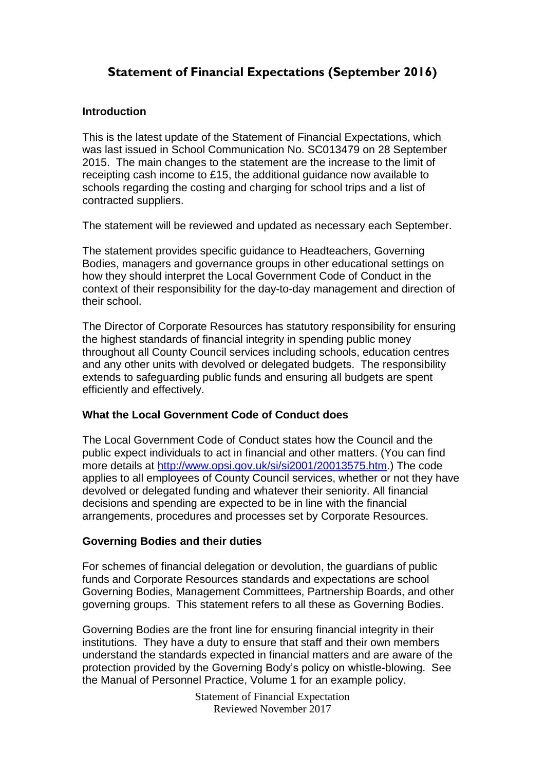# **Statement of Financial Expectations (September 2016)**

# **Introduction**

This is the latest update of the Statement of Financial Expectations, which was last issued in School Communication No. SC013479 on 28 September 2015. The main changes to the statement are the increase to the limit of receipting cash income to £15, the additional guidance now available to schools regarding the costing and charging for school trips and a list of contracted suppliers.

The statement will be reviewed and updated as necessary each September.

The statement provides specific guidance to Headteachers, Governing Bodies, managers and governance groups in other educational settings on how they should interpret the Local Government Code of Conduct in the context of their responsibility for the day-to-day management and direction of their school.

The Director of Corporate Resources has statutory responsibility for ensuring the highest standards of financial integrity in spending public money throughout all County Council services including schools, education centres and any other units with devolved or delegated budgets. The responsibility extends to safeguarding public funds and ensuring all budgets are spent efficiently and effectively.

# **What the Local Government Code of Conduct does**

The Local Government Code of Conduct states how the Council and the public expect individuals to act in financial and other matters. (You can find more details at [http://www.opsi.gov.uk/si/si2001/20013575.htm.](http://www.opsi.gov.uk/si/si2001/20013575.htm)) The code applies to all employees of County Council services, whether or not they have devolved or delegated funding and whatever their seniority. All financial decisions and spending are expected to be in line with the financial arrangements, procedures and processes set by Corporate Resources.

# **Governing Bodies and their duties**

For schemes of financial delegation or devolution, the guardians of public funds and Corporate Resources standards and expectations are school Governing Bodies, Management Committees, Partnership Boards, and other governing groups. This statement refers to all these as Governing Bodies.

Governing Bodies are the front line for ensuring financial integrity in their institutions. They have a duty to ensure that staff and their own members understand the standards expected in financial matters and are aware of the protection provided by the Governing Body's policy on whistle-blowing. See the Manual of Personnel Practice, Volume 1 for an example policy.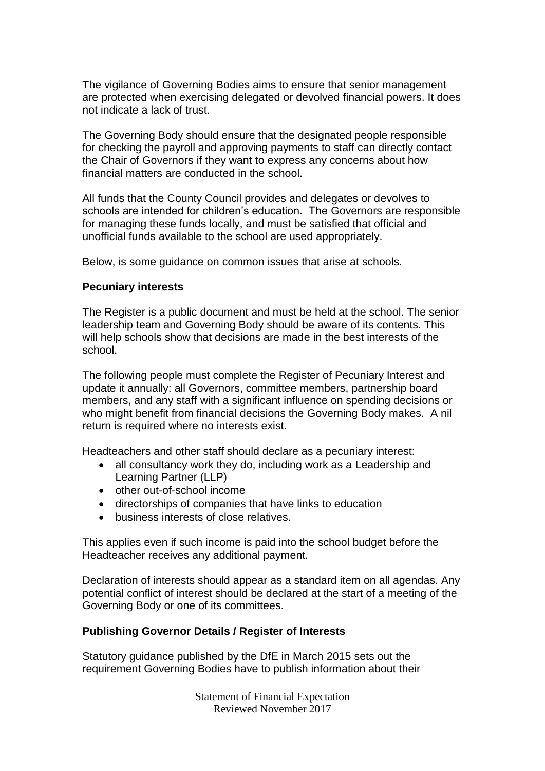The vigilance of Governing Bodies aims to ensure that senior management are protected when exercising delegated or devolved financial powers. It does not indicate a lack of trust.

The Governing Body should ensure that the designated people responsible for checking the payroll and approving payments to staff can directly contact the Chair of Governors if they want to express any concerns about how financial matters are conducted in the school.

All funds that the County Council provides and delegates or devolves to schools are intended for children's education. The Governors are responsible for managing these funds locally, and must be satisfied that official and unofficial funds available to the school are used appropriately.

Below, is some guidance on common issues that arise at schools.

# **Pecuniary interests**

The Register is a public document and must be held at the school. The senior leadership team and Governing Body should be aware of its contents. This will help schools show that decisions are made in the best interests of the school.

The following people must complete the Register of Pecuniary Interest and update it annually: all Governors, committee members, partnership board members, and any staff with a significant influence on spending decisions or who might benefit from financial decisions the Governing Body makes. A nil return is required where no interests exist.

Headteachers and other staff should declare as a pecuniary interest:

- all consultancy work they do, including work as a Leadership and Learning Partner (LLP)
- other out-of-school income
- directorships of companies that have links to education
- business interests of close relatives.

This applies even if such income is paid into the school budget before the Headteacher receives any additional payment.

Declaration of interests should appear as a standard item on all agendas. Any potential conflict of interest should be declared at the start of a meeting of the Governing Body or one of its committees.

# **Publishing Governor Details / Register of Interests**

Statutory guidance published by the DfE in March 2015 sets out the requirement Governing Bodies have to publish information about their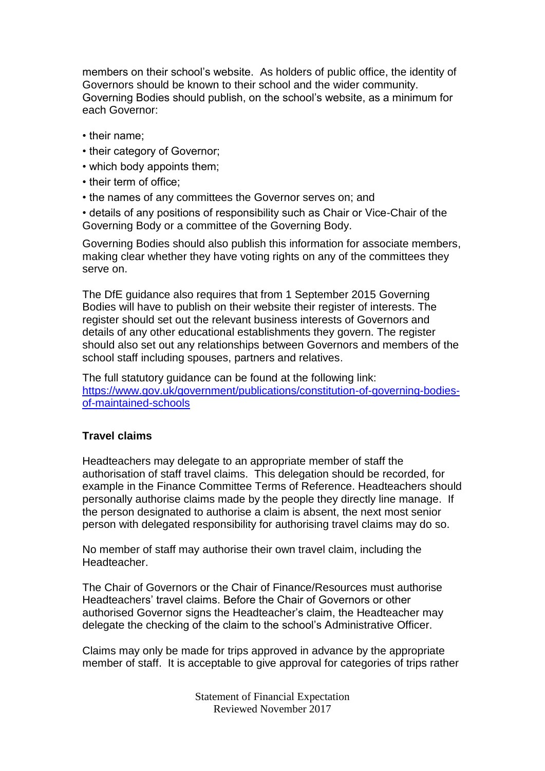members on their school's website. As holders of public office, the identity of Governors should be known to their school and the wider community. Governing Bodies should publish, on the school's website, as a minimum for each Governor:

- their name;
- their category of Governor;
- which body appoints them;
- their term of office;
- the names of any committees the Governor serves on; and

• details of any positions of responsibility such as Chair or Vice-Chair of the Governing Body or a committee of the Governing Body.

Governing Bodies should also publish this information for associate members, making clear whether they have voting rights on any of the committees they serve on.

The DfE guidance also requires that from 1 September 2015 Governing Bodies will have to publish on their website their register of interests. The register should set out the relevant business interests of Governors and details of any other educational establishments they govern. The register should also set out any relationships between Governors and members of the school staff including spouses, partners and relatives.

The full statutory guidance can be found at the following link: [https://www.gov.uk/government/publications/constitution-of-governing-bodies](https://www.gov.uk/government/publications/constitution-of-governing-bodies-of-maintained-schools)[of-maintained-schools](https://www.gov.uk/government/publications/constitution-of-governing-bodies-of-maintained-schools)

# **Travel claims**

Headteachers may delegate to an appropriate member of staff the authorisation of staff travel claims. This delegation should be recorded, for example in the Finance Committee Terms of Reference. Headteachers should personally authorise claims made by the people they directly line manage. If the person designated to authorise a claim is absent, the next most senior person with delegated responsibility for authorising travel claims may do so.

No member of staff may authorise their own travel claim, including the Headteacher.

The Chair of Governors or the Chair of Finance/Resources must authorise Headteachers' travel claims. Before the Chair of Governors or other authorised Governor signs the Headteacher's claim, the Headteacher may delegate the checking of the claim to the school's Administrative Officer.

Claims may only be made for trips approved in advance by the appropriate member of staff. It is acceptable to give approval for categories of trips rather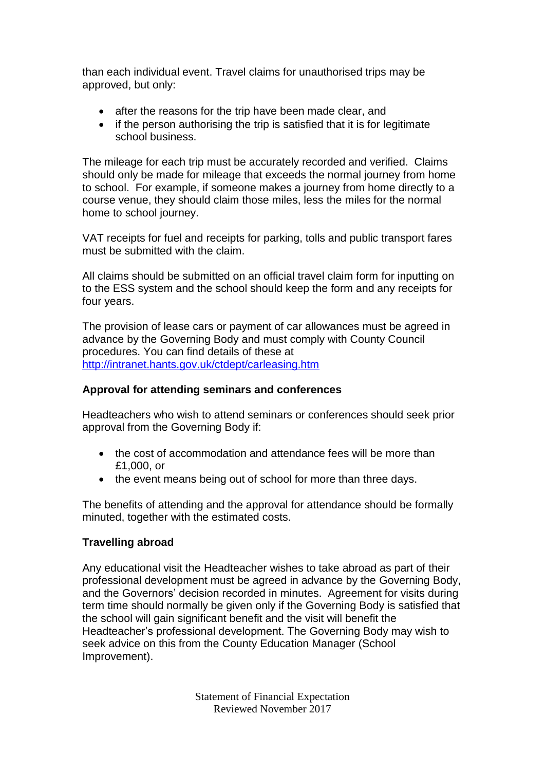than each individual event. Travel claims for unauthorised trips may be approved, but only:

- after the reasons for the trip have been made clear, and
- if the person authorising the trip is satisfied that it is for legitimate school business.

The mileage for each trip must be accurately recorded and verified. Claims should only be made for mileage that exceeds the normal journey from home to school. For example, if someone makes a journey from home directly to a course venue, they should claim those miles, less the miles for the normal home to school journey.

VAT receipts for fuel and receipts for parking, tolls and public transport fares must be submitted with the claim.

All claims should be submitted on an official travel claim form for inputting on to the ESS system and the school should keep the form and any receipts for four years.

The provision of lease cars or payment of car allowances must be agreed in advance by the Governing Body and must comply with County Council procedures. You can find details of these at <http://intranet.hants.gov.uk/ctdept/carleasing.htm>

# **Approval for attending seminars and conferences**

Headteachers who wish to attend seminars or conferences should seek prior approval from the Governing Body if:

- the cost of accommodation and attendance fees will be more than £1,000, or
- the event means being out of school for more than three days.

The benefits of attending and the approval for attendance should be formally minuted, together with the estimated costs.

# **Travelling abroad**

Any educational visit the Headteacher wishes to take abroad as part of their professional development must be agreed in advance by the Governing Body, and the Governors' decision recorded in minutes. Agreement for visits during term time should normally be given only if the Governing Body is satisfied that the school will gain significant benefit and the visit will benefit the Headteacher's professional development. The Governing Body may wish to seek advice on this from the County Education Manager (School Improvement).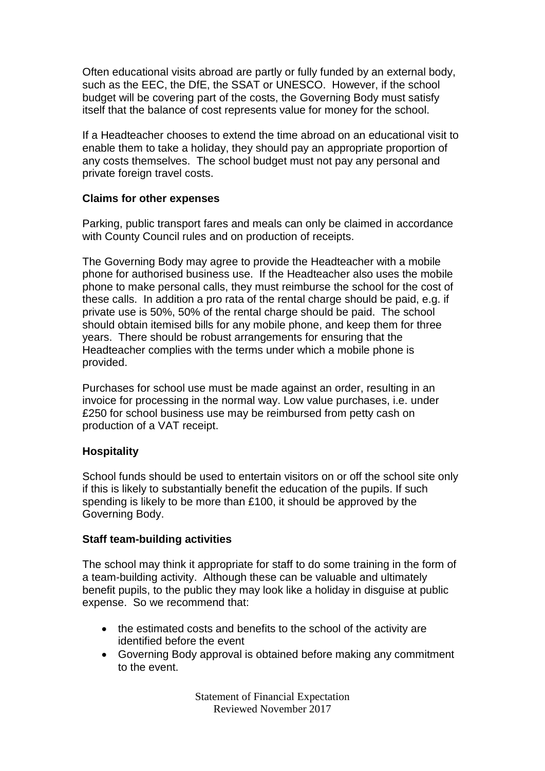Often educational visits abroad are partly or fully funded by an external body, such as the EEC, the DfE, the SSAT or UNESCO. However, if the school budget will be covering part of the costs, the Governing Body must satisfy itself that the balance of cost represents value for money for the school.

If a Headteacher chooses to extend the time abroad on an educational visit to enable them to take a holiday, they should pay an appropriate proportion of any costs themselves. The school budget must not pay any personal and private foreign travel costs.

# **Claims for other expenses**

Parking, public transport fares and meals can only be claimed in accordance with County Council rules and on production of receipts.

The Governing Body may agree to provide the Headteacher with a mobile phone for authorised business use. If the Headteacher also uses the mobile phone to make personal calls, they must reimburse the school for the cost of these calls. In addition a pro rata of the rental charge should be paid, e.g. if private use is 50%, 50% of the rental charge should be paid. The school should obtain itemised bills for any mobile phone, and keep them for three years. There should be robust arrangements for ensuring that the Headteacher complies with the terms under which a mobile phone is provided.

Purchases for school use must be made against an order, resulting in an invoice for processing in the normal way. Low value purchases, i.e. under £250 for school business use may be reimbursed from petty cash on production of a VAT receipt.

# **Hospitality**

School funds should be used to entertain visitors on or off the school site only if this is likely to substantially benefit the education of the pupils. If such spending is likely to be more than £100, it should be approved by the Governing Body.

# **Staff team-building activities**

The school may think it appropriate for staff to do some training in the form of a team-building activity. Although these can be valuable and ultimately benefit pupils, to the public they may look like a holiday in disguise at public expense. So we recommend that:

- the estimated costs and benefits to the school of the activity are identified before the event
- Governing Body approval is obtained before making any commitment to the event.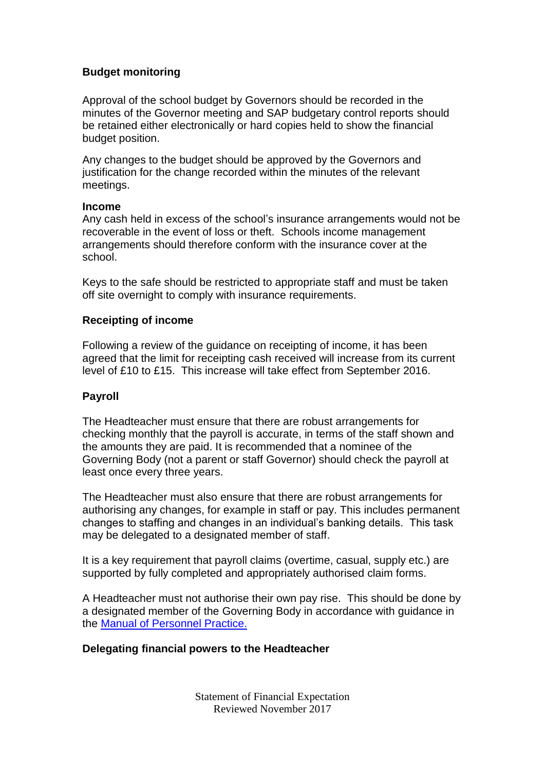# **Budget monitoring**

Approval of the school budget by Governors should be recorded in the minutes of the Governor meeting and SAP budgetary control reports should be retained either electronically or hard copies held to show the financial budget position.

Any changes to the budget should be approved by the Governors and justification for the change recorded within the minutes of the relevant meetings.

#### **Income**

Any cash held in excess of the school's insurance arrangements would not be recoverable in the event of loss or theft. Schools income management arrangements should therefore conform with the insurance cover at the school.

Keys to the safe should be restricted to appropriate staff and must be taken off site overnight to comply with insurance requirements.

# **Receipting of income**

Following a review of the guidance on receipting of income, it has been agreed that the limit for receipting cash received will increase from its current level of £10 to £15. This increase will take effect from September 2016.

# **Payroll**

The Headteacher must ensure that there are robust arrangements for checking monthly that the payroll is accurate, in terms of the staff shown and the amounts they are paid. It is recommended that a nominee of the Governing Body (not a parent or staff Governor) should check the payroll at least once every three years.

The Headteacher must also ensure that there are robust arrangements for authorising any changes, for example in staff or pay. This includes permanent changes to staffing and changes in an individual's banking details. This task may be delegated to a designated member of staff.

It is a key requirement that payroll claims (overtime, casual, supply etc.) are supported by fully completed and appropriately authorised claim forms.

A Headteacher must not authorise their own pay rise. This should be done by a designated member of the Governing Body in accordance with guidance in the [Manual of Personnel Practice.](http://www3.hants.gov.uk/education/mopp/)

# **Delegating financial powers to the Headteacher**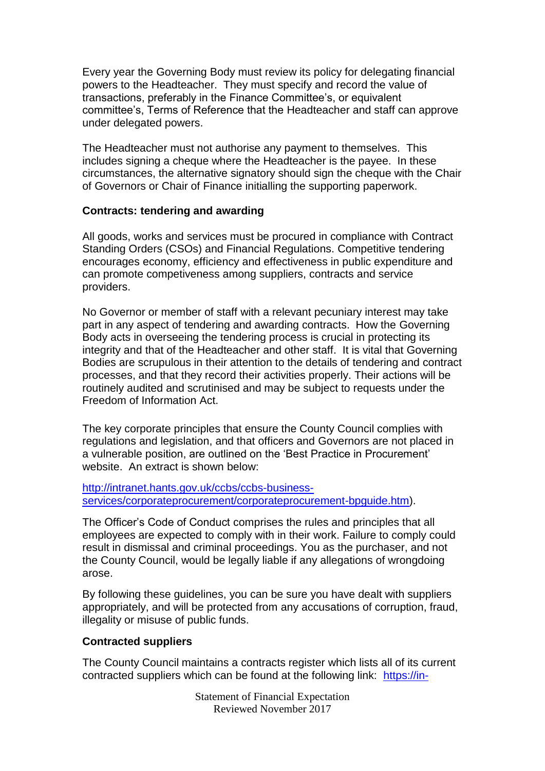Every year the Governing Body must review its policy for delegating financial powers to the Headteacher. They must specify and record the value of transactions, preferably in the Finance Committee's, or equivalent committee's, Terms of Reference that the Headteacher and staff can approve under delegated powers.

The Headteacher must not authorise any payment to themselves. This includes signing a cheque where the Headteacher is the payee. In these circumstances, the alternative signatory should sign the cheque with the Chair of Governors or Chair of Finance initialling the supporting paperwork.

# **Contracts: tendering and awarding**

All goods, works and services must be procured in compliance with Contract Standing Orders (CSOs) and Financial Regulations. Competitive tendering encourages economy, efficiency and effectiveness in public expenditure and can promote competiveness among suppliers, contracts and service providers.

No Governor or member of staff with a relevant pecuniary interest may take part in any aspect of tendering and awarding contracts. How the Governing Body acts in overseeing the tendering process is crucial in protecting its integrity and that of the Headteacher and other staff. It is vital that Governing Bodies are scrupulous in their attention to the details of tendering and contract processes, and that they record their activities properly. Their actions will be routinely audited and scrutinised and may be subject to requests under the Freedom of Information Act.

The key corporate principles that ensure the County Council complies with regulations and legislation, and that officers and Governors are not placed in a vulnerable position, are outlined on the 'Best Practice in Procurement' website. An extract is shown below:

[http://intranet.hants.gov.uk/ccbs/ccbs-business](http://intranet.hants.gov.uk/ccbs/ccbs-business-services/corporateprocurement/corporateprocurement-bpguide.htm)[services/corporateprocurement/corporateprocurement-bpguide.htm\)](http://intranet.hants.gov.uk/ccbs/ccbs-business-services/corporateprocurement/corporateprocurement-bpguide.htm).

The Officer's Code of Conduct comprises the rules and principles that all employees are expected to comply with in their work. Failure to comply could result in dismissal and criminal proceedings. You as the purchaser, and not the County Council, would be legally liable if any allegations of wrongdoing arose.

By following these guidelines, you can be sure you have dealt with suppliers appropriately, and will be protected from any accusations of corruption, fraud, illegality or misuse of public funds.

# **Contracted suppliers**

The County Council maintains a contracts register which lists all of its current contracted suppliers which can be found at the following link: [https://in-](https://in-tendhost.co.uk/hampshire/aspx/ViewContractsRegister.aspx?id=f143f830-fbd2-4d5e-9805-62562613921c)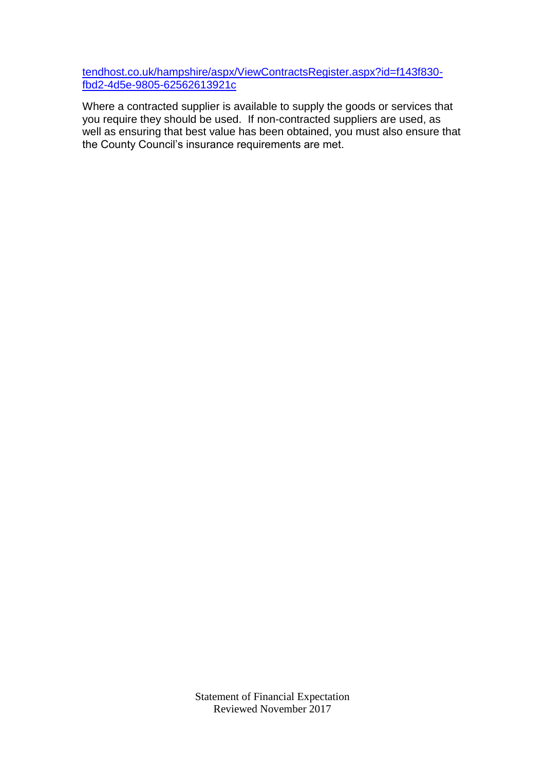tendhost.co.uk/hampshire/aspx/ViewContractsRegister.aspx?id=f143f830 fbd2-4d5e-9805-62562613921c

Where a contracted supplier is available to supply the goods or services that you require they should be used. If non-contracted suppliers are used, as well as ensuring that best value has been obtained, you must also ensure that the County Council's insurance requirements are met.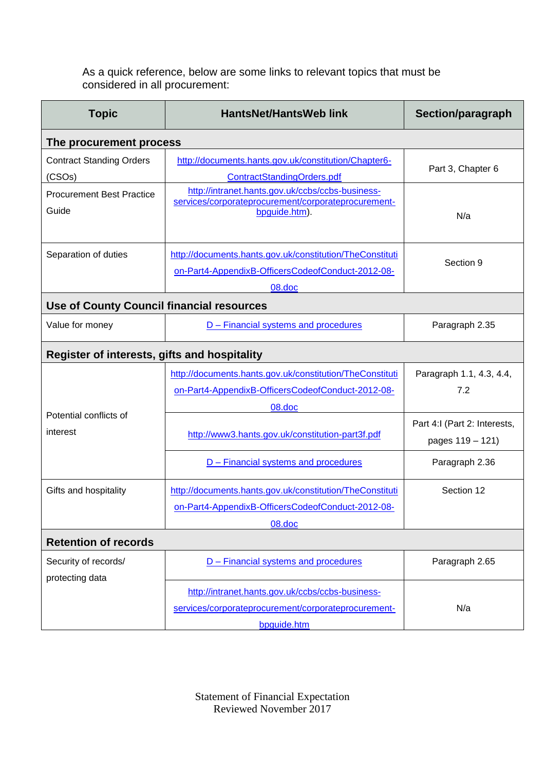As a quick reference, below are some links to relevant topics that must be considered in all procurement:

| <b>Topic</b>                                        | <b>HantsNet/HantsWeb link</b>                                                                                            | Section/paragraph                                |
|-----------------------------------------------------|--------------------------------------------------------------------------------------------------------------------------|--------------------------------------------------|
| The procurement process                             |                                                                                                                          |                                                  |
| <b>Contract Standing Orders</b><br>(CSOs)           | http://documents.hants.gov.uk/constitution/Chapter6-<br>ContractStandingOrders.pdf                                       | Part 3, Chapter 6                                |
| <b>Procurement Best Practice</b><br>Guide           | http://intranet.hants.gov.uk/ccbs/ccbs-business-<br>services/corporateprocurement/corporateprocurement-<br>bpguide.htm). | N/a                                              |
| Separation of duties                                | http://documents.hants.gov.uk/constitution/TheConstituti<br>on-Part4-AppendixB-OfficersCodeofConduct-2012-08-            | Section 9                                        |
| 08.doc                                              |                                                                                                                          |                                                  |
| <b>Use of County Council financial resources</b>    |                                                                                                                          |                                                  |
| Value for money                                     | D - Financial systems and procedures                                                                                     | Paragraph 2.35                                   |
| <b>Register of interests, gifts and hospitality</b> |                                                                                                                          |                                                  |
|                                                     | http://documents.hants.gov.uk/constitution/TheConstituti                                                                 | Paragraph 1.1, 4.3, 4.4,                         |
| Potential conflicts of<br>interest                  | on-Part4-AppendixB-OfficersCodeofConduct-2012-08-                                                                        | 7.2                                              |
|                                                     | 08.doc                                                                                                                   |                                                  |
|                                                     | http://www3.hants.gov.uk/constitution-part3f.pdf                                                                         | Part 4:I (Part 2: Interests,<br>pages 119 - 121) |
|                                                     | D - Financial systems and procedures                                                                                     | Paragraph 2.36                                   |
| Gifts and hospitality                               | http://documents.hants.gov.uk/constitution/TheConstituti                                                                 | Section 12                                       |
|                                                     | on-Part4-AppendixB-OfficersCodeofConduct-2012-08-                                                                        |                                                  |
|                                                     | 08.doc                                                                                                                   |                                                  |
| <b>Retention of records</b>                         |                                                                                                                          |                                                  |
| Security of records/<br>protecting data             | D - Financial systems and procedures                                                                                     | Paragraph 2.65                                   |
|                                                     | http://intranet.hants.gov.uk/ccbs/ccbs-business-                                                                         |                                                  |
|                                                     | services/corporateprocurement/corporateprocurement-                                                                      | N/a                                              |
|                                                     | bpguide.htm                                                                                                              |                                                  |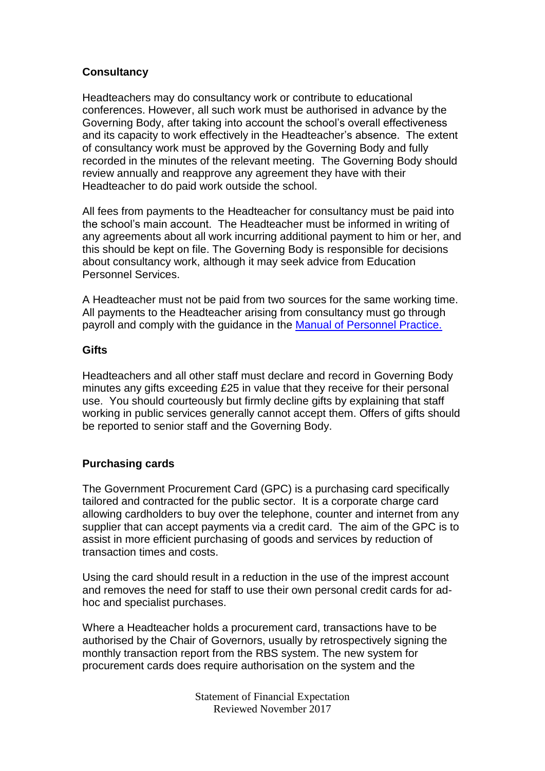# **Consultancy**

Headteachers may do consultancy work or contribute to educational conferences. However, all such work must be authorised in advance by the Governing Body, after taking into account the school's overall effectiveness and its capacity to work effectively in the Headteacher's absence. The extent of consultancy work must be approved by the Governing Body and fully recorded in the minutes of the relevant meeting. The Governing Body should review annually and reapprove any agreement they have with their Headteacher to do paid work outside the school.

All fees from payments to the Headteacher for consultancy must be paid into the school's main account. The Headteacher must be informed in writing of any agreements about all work incurring additional payment to him or her, and this should be kept on file. The Governing Body is responsible for decisions about consultancy work, although it may seek advice from Education Personnel Services.

A Headteacher must not be paid from two sources for the same working time. All payments to the Headteacher arising from consultancy must go through payroll and comply with the guidance in the [Manual of Personnel Practice.](http://www3.hants.gov.uk/education/mopp/) 

# **Gifts**

Headteachers and all other staff must declare and record in Governing Body minutes any gifts exceeding £25 in value that they receive for their personal use. You should courteously but firmly decline gifts by explaining that staff working in public services generally cannot accept them. Offers of gifts should be reported to senior staff and the Governing Body.

# **Purchasing cards**

The Government Procurement Card (GPC) is a purchasing card specifically tailored and contracted for the public sector. It is a corporate charge card allowing cardholders to buy over the telephone, counter and internet from any supplier that can accept payments via a credit card. The aim of the GPC is to assist in more efficient purchasing of goods and services by reduction of transaction times and costs.

Using the card should result in a reduction in the use of the imprest account and removes the need for staff to use their own personal credit cards for adhoc and specialist purchases.

Where a Headteacher holds a procurement card, transactions have to be authorised by the Chair of Governors, usually by retrospectively signing the monthly transaction report from the RBS system. The new system for procurement cards does require authorisation on the system and the